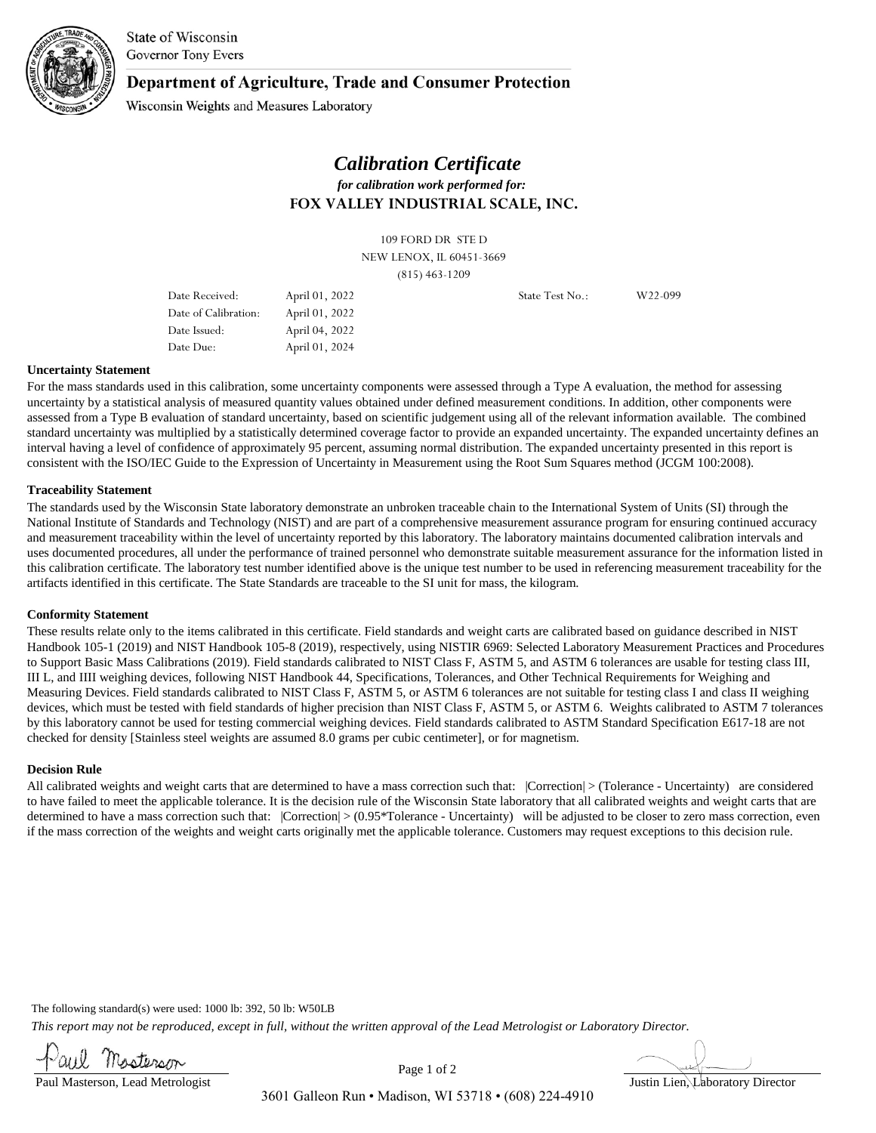

State of Wisconsin **Governor Tony Evers** 

### Department of Agriculture, Trade and Consumer Protection

Wisconsin Weights and Measures Laboratory

## **FOX VALLEY INDUSTRIAL SCALE, INC.**  *Calibration Certificate for calibration work performed for:*

109 FORD DR STE D NEW LENOX, IL 60451-3669 (815) 463-1209

Date Received: April 01, 2022 Date of Calibration: April 01, 2022 Date Due: April 01, 2024 Date Issued: April 04, 2022 State Test No.: W22-099

#### **Uncertainty Statement**

For the mass standards used in this calibration, some uncertainty components were assessed through a Type A evaluation, the method for assessing uncertainty by a statistical analysis of measured quantity values obtained under defined measurement conditions. In addition, other components were assessed from a Type B evaluation of standard uncertainty, based on scientific judgement using all of the relevant information available. The combined standard uncertainty was multiplied by a statistically determined coverage factor to provide an expanded uncertainty. The expanded uncertainty defines an interval having a level of confidence of approximately 95 percent, assuming normal distribution. The expanded uncertainty presented in this report is consistent with the ISO/IEC Guide to the Expression of Uncertainty in Measurement using the Root Sum Squares method (JCGM 100:2008).

#### **Traceability Statement**

The standards used by the Wisconsin State laboratory demonstrate an unbroken traceable chain to the International System of Units (SI) through the National Institute of Standards and Technology (NIST) and are part of a comprehensive measurement assurance program for ensuring continued accuracy and measurement traceability within the level of uncertainty reported by this laboratory. The laboratory maintains documented calibration intervals and uses documented procedures, all under the performance of trained personnel who demonstrate suitable measurement assurance for the information listed in this calibration certificate. The laboratory test number identified above is the unique test number to be used in referencing measurement traceability for the artifacts identified in this certificate. The State Standards are traceable to the SI unit for mass, the kilogram.

#### **Conformity Statement**

These results relate only to the items calibrated in this certificate. Field standards and weight carts are calibrated based on guidance described in NIST Handbook 105-1 (2019) and NIST Handbook 105-8 (2019), respectively, using NISTIR 6969: Selected Laboratory Measurement Practices and Procedures to Support Basic Mass Calibrations (2019). Field standards calibrated to NIST Class F, ASTM 5, and ASTM 6 tolerances are usable for testing class III, III L, and IIII weighing devices, following NIST Handbook 44, Specifications, Tolerances, and Other Technical Requirements for Weighing and Measuring Devices. Field standards calibrated to NIST Class F, ASTM 5, or ASTM 6 tolerances are not suitable for testing class I and class II weighing devices, which must be tested with field standards of higher precision than NIST Class F, ASTM 5, or ASTM 6. Weights calibrated to ASTM 7 tolerances by this laboratory cannot be used for testing commercial weighing devices. Field standards calibrated to ASTM Standard Specification E617-18 are not checked for density [Stainless steel weights are assumed 8.0 grams per cubic centimeter], or for magnetism.

#### **Decision Rule**

All calibrated weights and weight carts that are determined to have a mass correction such that:  $|Correction| > (Tolerance - Uncertainty)$  are considered to have failed to meet the applicable tolerance. It is the decision rule of the Wisconsin State laboratory that all calibrated weights and weight carts that are determined to have a mass correction such that: Correction| >  $(0.95*T$ olerance - Uncertainty) will be adjusted to be closer to zero mass correction, even if the mass correction of the weights and weight carts originally met the applicable tolerance. Customers may request exceptions to this decision rule.

The following standard(s) were used: 1000 lb: 392, 50 lb: W50LB

*This report may not be reproduced, except in full, without the written approval of the Lead Metrologist or Laboratory Director.*

Paul Masterson, Lead Metrologist

Page 1 of 2

3601 Galleon Run • Madison, WI 53718 • (608) 224-4910

Justin Lien, Laboratory Director